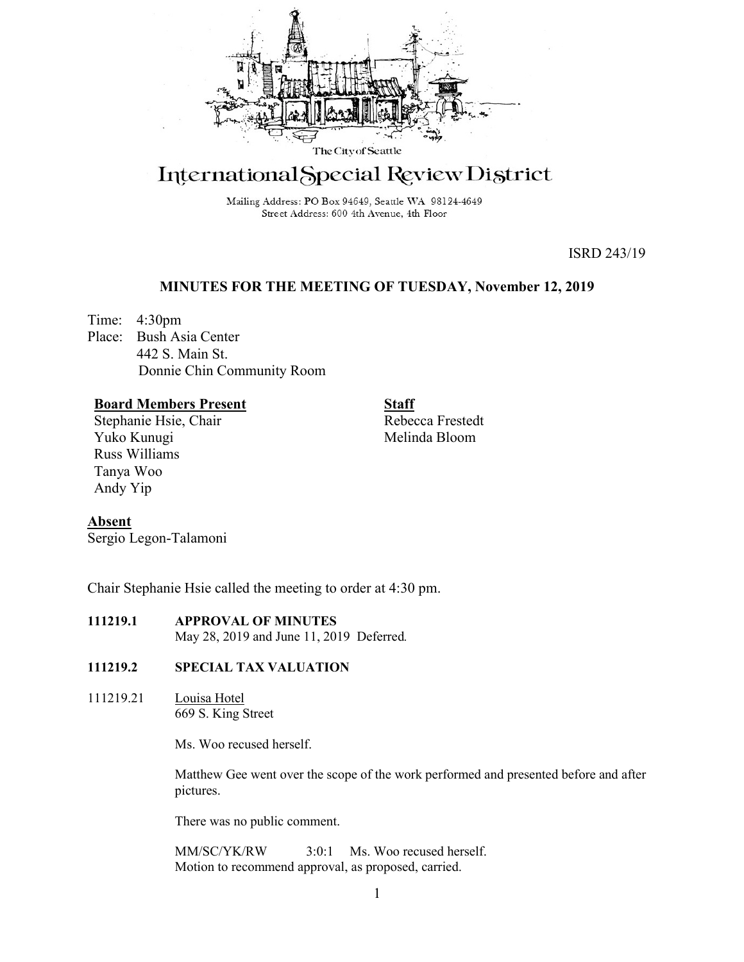

# International Special Review District

Mailing Address: PO Box 94649, Seattle WA 98124-4649 Street Address: 600 4th Avenue, 4th Floor

ISRD 243/19

## **MINUTES FOR THE MEETING OF TUESDAY, November 12, 2019**

Time: 4:30pm Place: Bush Asia Center 442 S. Main St. Donnie Chin Community Room

## **Board Members Present**

Stephanie Hsie, Chair Yuko Kunugi Russ Williams Tanya Woo Andy Yip

**Staff** Rebecca Frestedt Melinda Bloom

## **Absent**

Sergio Legon-Talamoni

Chair Stephanie Hsie called the meeting to order at 4:30 pm.

## **111219.1 APPROVAL OF MINUTES**

May 28, 2019 and June 11, 2019 Deferred*.*

### **111219.2 SPECIAL TAX VALUATION**

111219.21 Louisa Hotel 669 S. King Street

Ms. Woo recused herself.

Matthew Gee went over the scope of the work performed and presented before and after pictures.

There was no public comment.

MM/SC/YK/RW 3:0:1 Ms. Woo recused herself. Motion to recommend approval, as proposed, carried.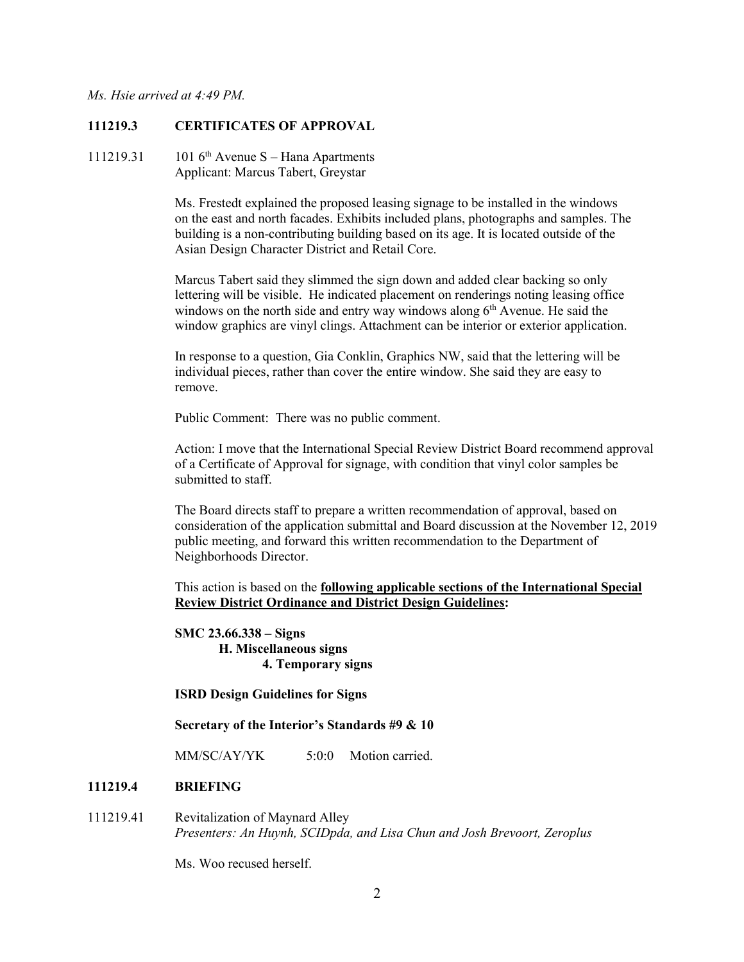#### **111219.3 CERTIFICATES OF APPROVAL**

111219.31 101  $6<sup>th</sup>$  Avenue S – Hana Apartments Applicant: Marcus Tabert, Greystar

> Ms. Frestedt explained the proposed leasing signage to be installed in the windows on the east and north facades. Exhibits included plans, photographs and samples. The building is a non-contributing building based on its age. It is located outside of the Asian Design Character District and Retail Core.

> Marcus Tabert said they slimmed the sign down and added clear backing so only lettering will be visible. He indicated placement on renderings noting leasing office windows on the north side and entry way windows along  $6<sup>th</sup>$  Avenue. He said the window graphics are vinyl clings. Attachment can be interior or exterior application.

In response to a question, Gia Conklin, Graphics NW, said that the lettering will be individual pieces, rather than cover the entire window. She said they are easy to remove.

Public Comment: There was no public comment.

Action: I move that the International Special Review District Board recommend approval of a Certificate of Approval for signage, with condition that vinyl color samples be submitted to staff.

The Board directs staff to prepare a written recommendation of approval, based on consideration of the application submittal and Board discussion at the November 12, 2019 public meeting, and forward this written recommendation to the Department of Neighborhoods Director.

This action is based on the **following applicable sections of the International Special Review District Ordinance and District Design Guidelines:** 

**SMC 23.66.338 – Signs H. Miscellaneous signs 4. Temporary signs**

#### **ISRD Design Guidelines for Signs**

**Secretary of the Interior's Standards #9 & 10**

MM/SC/AY/YK 5:0:0 Motion carried.

#### **111219.4 BRIEFING**

111219.41 Revitalization of Maynard Alley *Presenters: An Huynh, SCIDpda, and Lisa Chun and Josh Brevoort, Zeroplus*

Ms. Woo recused herself.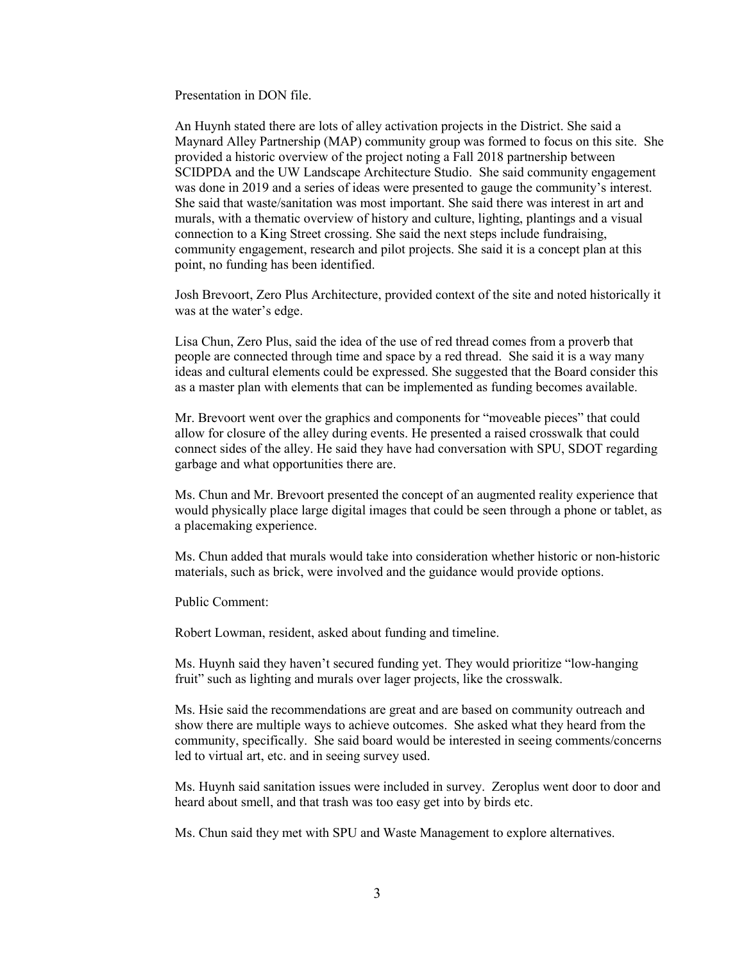Presentation in DON file.

An Huynh stated there are lots of alley activation projects in the District. She said a Maynard Alley Partnership (MAP) community group was formed to focus on this site. She provided a historic overview of the project noting a Fall 2018 partnership between SCIDPDA and the UW Landscape Architecture Studio. She said community engagement was done in 2019 and a series of ideas were presented to gauge the community's interest. She said that waste/sanitation was most important. She said there was interest in art and murals, with a thematic overview of history and culture, lighting, plantings and a visual connection to a King Street crossing. She said the next steps include fundraising, community engagement, research and pilot projects. She said it is a concept plan at this point, no funding has been identified.

Josh Brevoort, Zero Plus Architecture, provided context of the site and noted historically it was at the water's edge.

Lisa Chun, Zero Plus, said the idea of the use of red thread comes from a proverb that people are connected through time and space by a red thread. She said it is a way many ideas and cultural elements could be expressed. She suggested that the Board consider this as a master plan with elements that can be implemented as funding becomes available.

Mr. Brevoort went over the graphics and components for "moveable pieces" that could allow for closure of the alley during events. He presented a raised crosswalk that could connect sides of the alley. He said they have had conversation with SPU, SDOT regarding garbage and what opportunities there are.

Ms. Chun and Mr. Brevoort presented the concept of an augmented reality experience that would physically place large digital images that could be seen through a phone or tablet, as a placemaking experience.

Ms. Chun added that murals would take into consideration whether historic or non-historic materials, such as brick, were involved and the guidance would provide options.

Public Comment:

Robert Lowman, resident, asked about funding and timeline.

Ms. Huynh said they haven't secured funding yet. They would prioritize "low-hanging fruit" such as lighting and murals over lager projects, like the crosswalk.

Ms. Hsie said the recommendations are great and are based on community outreach and show there are multiple ways to achieve outcomes. She asked what they heard from the community, specifically. She said board would be interested in seeing comments/concerns led to virtual art, etc. and in seeing survey used.

Ms. Huynh said sanitation issues were included in survey. Zeroplus went door to door and heard about smell, and that trash was too easy get into by birds etc.

Ms. Chun said they met with SPU and Waste Management to explore alternatives.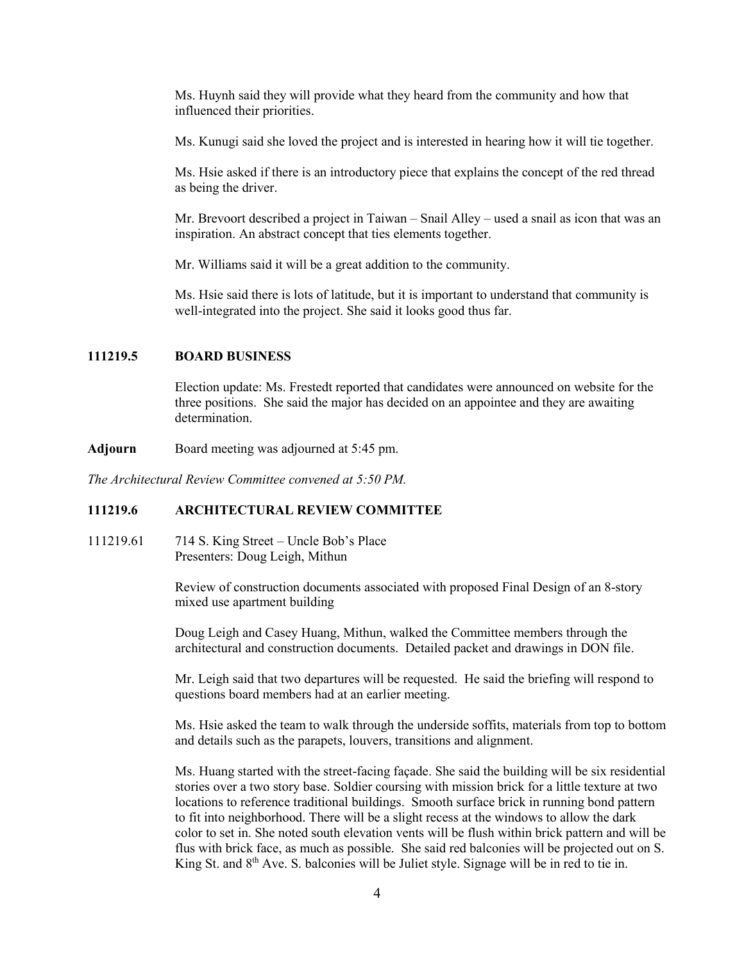Ms. Huynh said they will provide what they heard from the community and how that influenced their priorities.

Ms. Kunugi said she loved the project and is interested in hearing how it will tie together.

Ms. Hsie asked if there is an introductory piece that explains the concept of the red thread as being the driver.

Mr. Brevoort described a project in Taiwan – Snail Alley – used a snail as icon that was an inspiration. An abstract concept that ties elements together.

Mr. Williams said it will be a great addition to the community.

Ms. Hsie said there is lots of latitude, but it is important to understand that community is well-integrated into the project. She said it looks good thus far.

#### **111219.5 BOARD BUSINESS**

Election update: Ms. Frestedt reported that candidates were announced on website for the three positions. She said the major has decided on an appointee and they are awaiting determination.

**Adjourn** Board meeting was adjourned at 5:45 pm.

*The Architectural Review Committee convened at 5:50 PM.*

#### **111219.6 ARCHITECTURAL REVIEW COMMITTEE**

111219.61 714 S. King Street – Uncle Bob's Place Presenters: Doug Leigh, Mithun

> Review of construction documents associated with proposed Final Design of an 8-story mixed use apartment building

Doug Leigh and Casey Huang, Mithun, walked the Committee members through the architectural and construction documents. Detailed packet and drawings in DON file.

Mr. Leigh said that two departures will be requested. He said the briefing will respond to questions board members had at an earlier meeting.

Ms. Hsie asked the team to walk through the underside soffits, materials from top to bottom and details such as the parapets, louvers, transitions and alignment.

Ms. Huang started with the street-facing façade. She said the building will be six residential stories over a two story base. Soldier coursing with mission brick for a little texture at two locations to reference traditional buildings. Smooth surface brick in running bond pattern to fit into neighborhood. There will be a slight recess at the windows to allow the dark color to set in. She noted south elevation vents will be flush within brick pattern and will be flus with brick face, as much as possible. She said red balconies will be projected out on S. King St. and  $8<sup>th</sup>$  Ave. S. balconies will be Juliet style. Signage will be in red to tie in.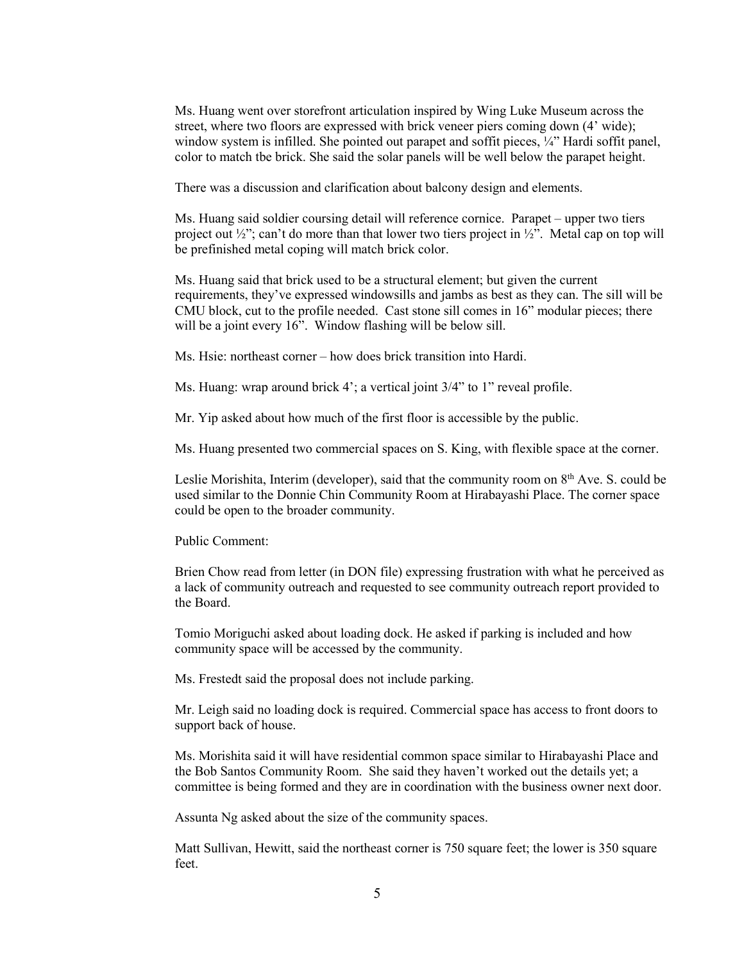Ms. Huang went over storefront articulation inspired by Wing Luke Museum across the street, where two floors are expressed with brick veneer piers coming down (4' wide); window system is infilled. She pointed out parapet and soffit pieces, ¼" Hardi soffit panel, color to match tbe brick. She said the solar panels will be well below the parapet height.

There was a discussion and clarification about balcony design and elements.

Ms. Huang said soldier coursing detail will reference cornice. Parapet – upper two tiers project out  $\frac{1}{2}$ "; can't do more than that lower two tiers project in  $\frac{1}{2}$ ". Metal cap on top will be prefinished metal coping will match brick color.

Ms. Huang said that brick used to be a structural element; but given the current requirements, they've expressed windowsills and jambs as best as they can. The sill will be CMU block, cut to the profile needed. Cast stone sill comes in 16" modular pieces; there will be a joint every 16". Window flashing will be below sill.

Ms. Hsie: northeast corner – how does brick transition into Hardi.

Ms. Huang: wrap around brick 4'; a vertical joint 3/4" to 1" reveal profile.

Mr. Yip asked about how much of the first floor is accessible by the public.

Ms. Huang presented two commercial spaces on S. King, with flexible space at the corner.

Leslie Morishita, Interim (developer), said that the community room on 8<sup>th</sup> Ave. S. could be used similar to the Donnie Chin Community Room at Hirabayashi Place. The corner space could be open to the broader community.

Public Comment:

Brien Chow read from letter (in DON file) expressing frustration with what he perceived as a lack of community outreach and requested to see community outreach report provided to the Board.

Tomio Moriguchi asked about loading dock. He asked if parking is included and how community space will be accessed by the community.

Ms. Frestedt said the proposal does not include parking.

Mr. Leigh said no loading dock is required. Commercial space has access to front doors to support back of house.

Ms. Morishita said it will have residential common space similar to Hirabayashi Place and the Bob Santos Community Room. She said they haven't worked out the details yet; a committee is being formed and they are in coordination with the business owner next door.

Assunta Ng asked about the size of the community spaces.

Matt Sullivan, Hewitt, said the northeast corner is 750 square feet; the lower is 350 square feet.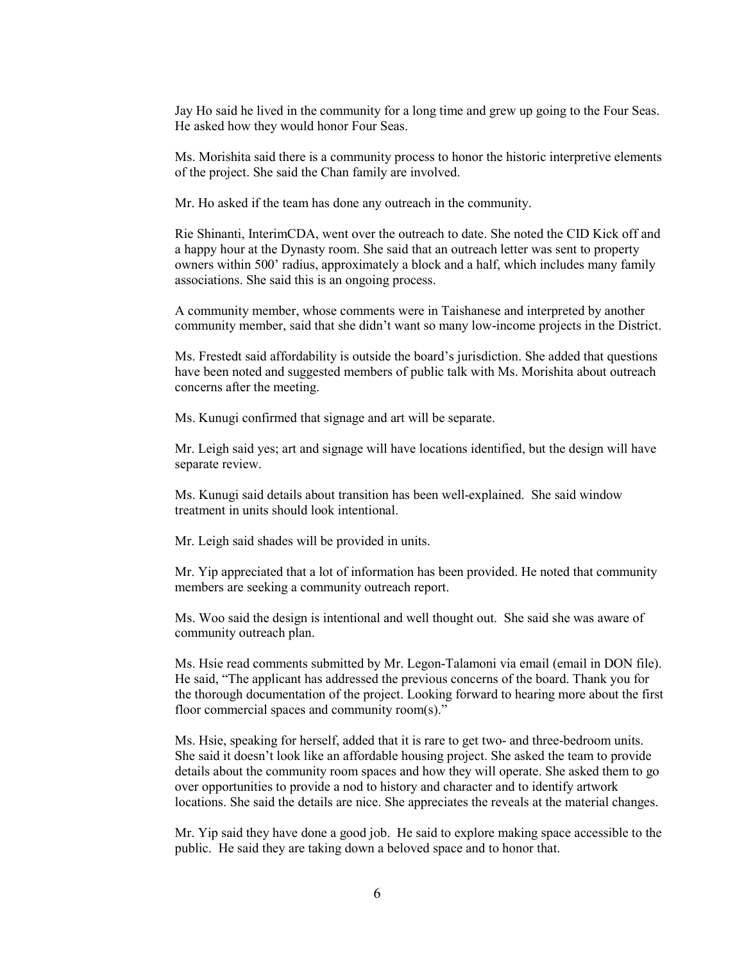Jay Ho said he lived in the community for a long time and grew up going to the Four Seas. He asked how they would honor Four Seas.

Ms. Morishita said there is a community process to honor the historic interpretive elements of the project. She said the Chan family are involved.

Mr. Ho asked if the team has done any outreach in the community.

Rie Shinanti, InterimCDA, went over the outreach to date. She noted the CID Kick off and a happy hour at the Dynasty room. She said that an outreach letter was sent to property owners within 500' radius, approximately a block and a half, which includes many family associations. She said this is an ongoing process.

A community member, whose comments were in Taishanese and interpreted by another community member, said that she didn't want so many low-income projects in the District.

Ms. Frestedt said affordability is outside the board's jurisdiction. She added that questions have been noted and suggested members of public talk with Ms. Morishita about outreach concerns after the meeting.

Ms. Kunugi confirmed that signage and art will be separate.

Mr. Leigh said yes; art and signage will have locations identified, but the design will have separate review.

Ms. Kunugi said details about transition has been well-explained. She said window treatment in units should look intentional.

Mr. Leigh said shades will be provided in units.

Mr. Yip appreciated that a lot of information has been provided. He noted that community members are seeking a community outreach report.

Ms. Woo said the design is intentional and well thought out. She said she was aware of community outreach plan.

Ms. Hsie read comments submitted by Mr. Legon-Talamoni via email (email in DON file). He said, "The applicant has addressed the previous concerns of the board. Thank you for the thorough documentation of the project. Looking forward to hearing more about the first floor commercial spaces and community room(s)."

Ms. Hsie, speaking for herself, added that it is rare to get two- and three-bedroom units. She said it doesn't look like an affordable housing project. She asked the team to provide details about the community room spaces and how they will operate. She asked them to go over opportunities to provide a nod to history and character and to identify artwork locations. She said the details are nice. She appreciates the reveals at the material changes.

Mr. Yip said they have done a good job. He said to explore making space accessible to the public. He said they are taking down a beloved space and to honor that.